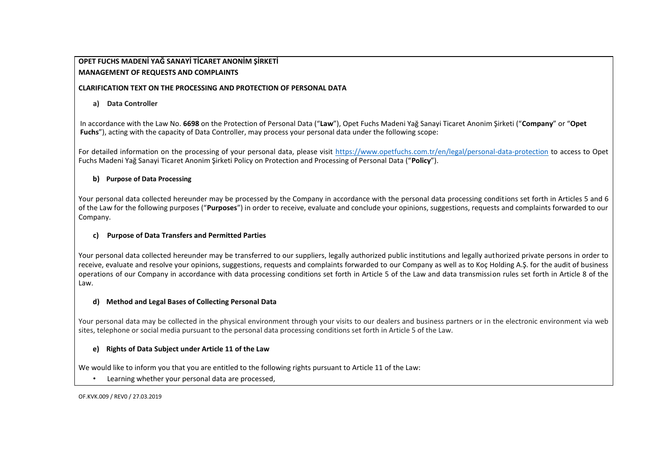# **OPET FUCHS MADENİ YAĞ SANAYİ TİCARET ANONİM ŞİRKETİ MANAGEMENT OF REQUESTS AND COMPLAINTS**

#### **CLARIFICATION TEXT ON THE PROCESSING AND PROTECTION OF PERSONAL DATA**

### **a) Data Controller**

In accordance with the Law No. **6698** on the Protection of Personal Data ("**Law**"), Opet Fuchs Madeni Yağ Sanayi Ticaret Anonim Şirketi ("**Company**" or "**Opet Fuchs**"), acting with the capacity of Data Controller, may process your personal data under the following scope:

For detailed information on the processing of your personal data, please visit <https://www.opetfuchs.com.tr/en/legal/personal-data-protection> to access to Opet Fuchs Madeni Yağ Sanayi Ticaret Anonim Şirketi Policy on Protection and Processing of Personal Data ("**Policy**").

#### **b) Purpose of Data Processing**

Your personal data collected hereunder may be processed by the Company in accordance with the personal data processing conditions set forth in Articles 5 and 6 of the Law for the following purposes ("**Purposes**") in order to receive, evaluate and conclude your opinions, suggestions, requests and complaints forwarded to our Company.

#### **c) Purpose of Data Transfers and Permitted Parties**

Your personal data collected hereunder may be transferred to our suppliers, legally authorized public institutions and legally authorized private persons in order to receive, evaluate and resolve your opinions, suggestions, requests and complaints forwarded to our Company as well as to Koç Holding A.Ş. for the audit of business operations of our Company in accordance with data processing conditions set forth in Article 5 of the Law and data transmission rules set forth in Article 8 of the Law.

#### **d) Method and Legal Bases of Collecting Personal Data**

Your personal data may be collected in the physical environment through your visits to our dealers and business partners or in the electronic environment via web sites, telephone or social media pursuant to the personal data processing conditions set forth in Article 5 of the Law.

## **e) Rights of Data Subject under Article 11 of the Law**

We would like to inform you that you are entitled to the following rights pursuant to Article 11 of the Law:

• Learning whether your personal data are processed,

OF.KVK.009 / REV0 / 27.03.2019